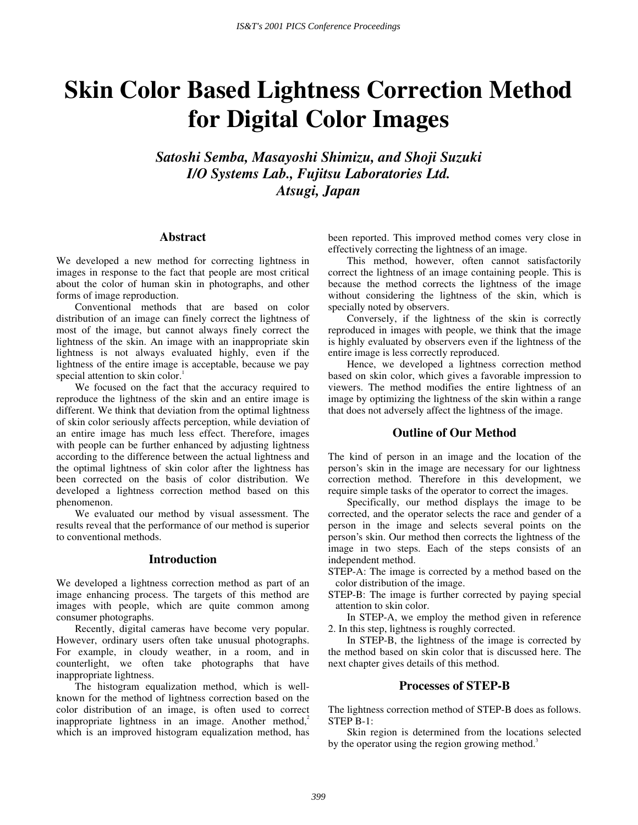# **Skin Color Based Lightness Correction Method for Digital Color Images**

*Satoshi Semba, Masayoshi Shimizu, and Shoji Suzuki I/O Systems Lab., Fujitsu Laboratories Ltd. Atsugi, Japan* 

## **Abstract**

We developed a new method for correcting lightness in images in response to the fact that people are most critical about the color of human skin in photographs, and other forms of image reproduction.

Conventional methods that are based on color distribution of an image can finely correct the lightness of most of the image, but cannot always finely correct the lightness of the skin. An image with an inappropriate skin lightness is not always evaluated highly, even if the lightness of the entire image is acceptable, because we pay special attention to skin color.<sup>1</sup>

We focused on the fact that the accuracy required to reproduce the lightness of the skin and an entire image is different. We think that deviation from the optimal lightness of skin color seriously affects perception, while deviation of an entire image has much less effect. Therefore, images with people can be further enhanced by adjusting lightness according to the difference between the actual lightness and the optimal lightness of skin color after the lightness has been corrected on the basis of color distribution. We developed a lightness correction method based on this phenomenon.

We evaluated our method by visual assessment. The results reveal that the performance of our method is superior to conventional methods.

## **Introduction**

We developed a lightness correction method as part of an image enhancing process. The targets of this method are images with people, which are quite common among consumer photographs.

Recently, digital cameras have become very popular. However, ordinary users often take unusual photographs. For example, in cloudy weather, in a room, and in counterlight, we often take photographs that have inappropriate lightness.

The histogram equalization method, which is wellknown for the method of lightness correction based on the color distribution of an image, is often used to correct inappropriate lightness in an image. Another method,<sup>2</sup> which is an improved histogram equalization method, has

been reported. This improved method comes very close in effectively correcting the lightness of an image.

This method, however, often cannot satisfactorily correct the lightness of an image containing people. This is because the method corrects the lightness of the image without considering the lightness of the skin, which is specially noted by observers.

Conversely, if the lightness of the skin is correctly reproduced in images with people, we think that the image is highly evaluated by observers even if the lightness of the entire image is less correctly reproduced.

Hence, we developed a lightness correction method based on skin color, which gives a favorable impression to viewers. The method modifies the entire lightness of an image by optimizing the lightness of the skin within a range that does not adversely affect the lightness of the image.

#### **Outline of Our Method**

The kind of person in an image and the location of the person's skin in the image are necessary for our lightness correction method. Therefore in this development, we require simple tasks of the operator to correct the images.

Specifically, our method displays the image to be corrected, and the operator selects the race and gender of a person in the image and selects several points on the person's skin. Our method then corrects the lightness of the image in two steps. Each of the steps consists of an independent method.

STEP-A: The image is corrected by a method based on the color distribution of the image.

STEP-B: The image is further corrected by paying special attention to skin color.

In STEP-A, we employ the method given in reference 2. In this step, lightness is roughly corrected.

In STEP-B, the lightness of the image is corrected by the method based on skin color that is discussed here. The next chapter gives details of this method.

#### **Processes of STEP-B**

The lightness correction method of STEP-B does as follows. STEP B-1:

Skin region is determined from the locations selected by the operator using the region growing method.<sup>3</sup>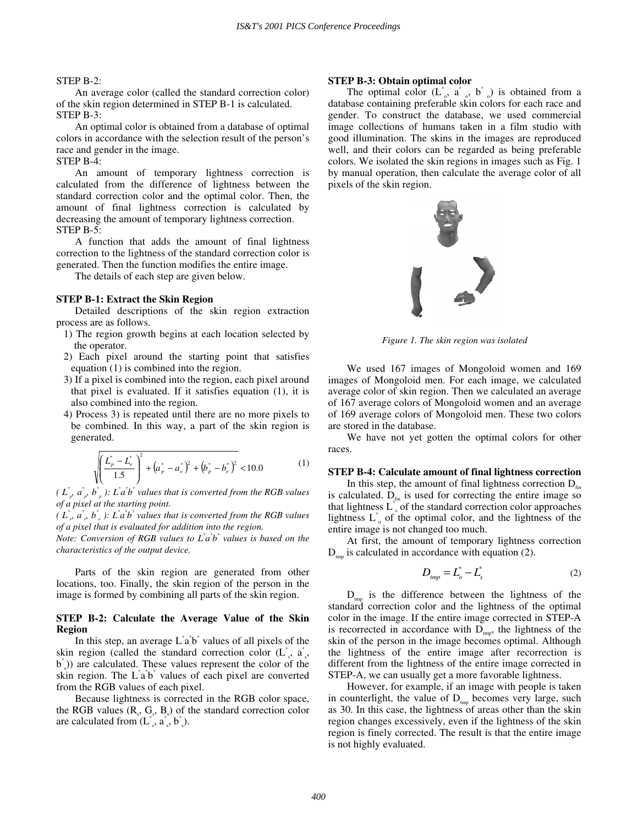## STEP B-2:

An average color (called the standard correction color) of the skin region determined in STEP B-1 is calculated. STEP B-3:

An optimal color is obtained from a database of optimal colors in accordance with the selection result of the person's race and gender in the image.

#### STEP B-4:

An amount of temporary lightness correction is calculated from the difference of lightness between the standard correction color and the optimal color. Then, the amount of final lightness correction is calculated by decreasing the amount of temporary lightness correction. STEP B-5:

A function that adds the amount of final lightness correction to the lightness of the standard correction color is generated. Then the function modifies the entire image.

The details of each step are given below.

#### **STEP B-1: Extract the Skin Region**

Detailed descriptions of the skin region extraction process are as follows.

- 1) The region growth begins at each location selected by the operator.
- 2) Each pixel around the starting point that satisfies equation (1) is combined into the region.
- 3) If a pixel is combined into the region, each pixel around that pixel is evaluated. If it satisfies equation (1), it is also combined into the region.
- 4) Process 3) is repeated until there are no more pixels to be combined. In this way, a part of the skin region is generated.

$$
\sqrt{\left(\frac{L_p^* - L_e^*}{1.5}\right)^2 + \left(a_p^* - a_e^*\right)^2 + \left(b_p^* - b_e^*\right)^2} < 10.0 \tag{1}
$$

*(*  $L^*_{p}$ ,  $a^*_{p}$ ,  $b^*_{p}$ ):  $L^* a^* b^*$  values that is converted from the RGB values *of a pixel at the starting point.* 

*(*  $L^*$ <sub>*e*</sub>,  $a^*$ <sub>*e*</sub>,  $b^*$ <sub>*i*</sub>  $\vdots$   $L^* a^* b^*$  values that is converted from the RGB values *of a pixel that is evaluated for addition into the region.* 

*Note: Conversion of RGB values to L<sup>\*</sup>a<sup>\*</sup>b<sup>\*</sup> values is based on the characteristics of the output device.* 

Parts of the skin region are generated from other locations, too. Finally, the skin region of the person in the image is formed by combining all parts of the skin region.

## **STEP B-2: Calculate the Average Value of the Skin Region**

In this step, an average  $\dot{L}^*$  a<sup>t</sup> values of all pixels of the skin region (called the standard correction color  $(L^*, a^*,)$ b\* s )) are calculated. These values represent the color of the skin region. The L<sup>\*</sup>a<sup>\*</sup>b<sup>\*</sup> values of each pixel are converted from the RGB values of each pixel.

Because lightness is corrected in the RGB color space, the RGB values  $(R_s, G_s, B_s)$  of the standard correction color are calculated from  $(L<sup>*</sup>, a<sup>*</sup>, b<sup>*</sup>)$ .

#### **STEP B-3: Obtain optimal color**

The optimal color  $(L^{\dagger}_{\circ}, a^{\dagger}_{\circ}, b^{\dagger}_{\circ})$  is obtained from a database containing preferable skin colors for each race and gender. To construct the database, we used commercial image collections of humans taken in a film studio with good illumination. The skins in the images are reproduced well, and their colors can be regarded as being preferable colors. We isolated the skin regions in images such as Fig. 1 by manual operation, then calculate the average color of all pixels of the skin region.



*Figure 1. The skin region was isolated* 

We used 167 images of Mongoloid women and 169 images of Mongoloid men. For each image, we calculated average color of skin region. Then we calculated an average of 167 average colors of Mongoloid women and an average of 169 average colors of Mongoloid men. These two colors are stored in the database.

We have not yet gotten the optimal colors for other races.

#### **STEP B-4: Calculate amount of final lightness correction**

In this step, the amount of final lightness correction  $D_{fin}$ is calculated.  $D_{fin}$  is used for correcting the entire image so that lightness  $L^*$  of the standard correction color approaches lightness  $L^*$  of the optimal color, and the lightness of the entire image is not changed too much.

At first, the amount of temporary lightness correction  $D_{\text{tmn}}$  is calculated in accordance with equation (2).

$$
D_{\rm imp} = L_o^* - L_s^* \tag{2}
$$

 $D_{\text{tmp}}$  is the difference between the lightness of the standard correction color and the lightness of the optimal color in the image. If the entire image corrected in STEP-A is recorrected in accordance with  $D_{\text{tmp}}$ , the lightness of the skin of the person in the image becomes optimal. Although the lightness of the entire image after recorrection is different from the lightness of the entire image corrected in STEP-A, we can usually get a more favorable lightness.

However, for example, if an image with people is taken in counterlight, the value of  $D_{\text{tmp}}$  becomes very large, such as 30. In this case, the lightness of areas other than the skin region changes excessively, even if the lightness of the skin region is finely corrected. The result is that the entire image is not highly evaluated.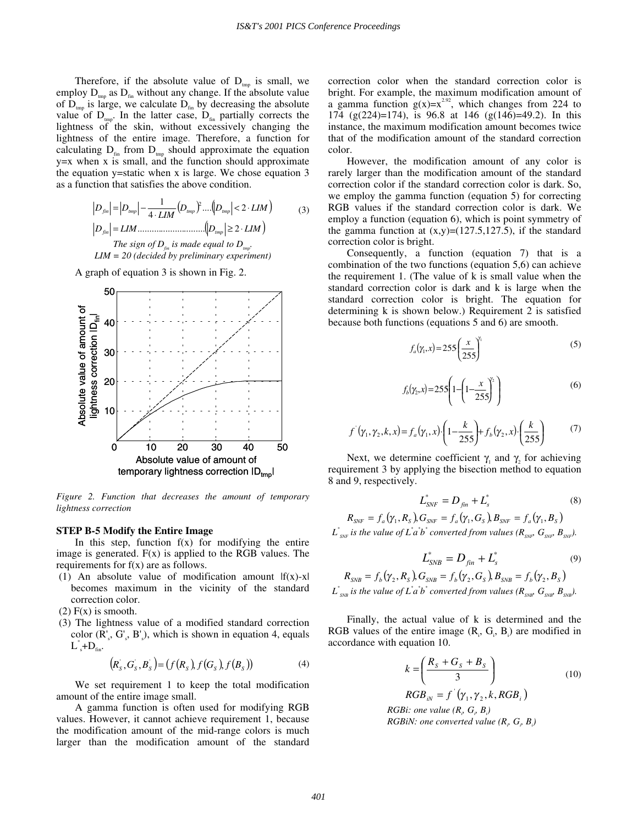Therefore, if the absolute value of  $D_{\text{tmp}}$  is small, we employ  $D_{\text{tmp}}$  as  $D_{\text{fin}}$  without any change. If the absolute value of  $D_{\text{tmp}}$  is large, we calculate  $D_{\text{fin}}$  by decreasing the absolute value of  $D_{\text{tmp}}$ . In the latter case,  $D_{\text{fin}}$  partially corrects the lightness of the skin, without excessively changing the lightness of the entire image. Therefore, a function for calculating  $D_{fin}$  from  $D_{tmp}$  should approximate the equation y=x when x is small, and the function should approximate the equation y=static when x is large. We chose equation  $3$ as a function that satisfies the above condition.

$$
|D_{fin}| = |D_{imp}| - \frac{1}{4 \cdot LIM} (D_{imp})^2 ....(|D_{imp}| < 2 \cdot LIM)
$$
  
\n
$$
|D_{fin}| = LIM
$$
  
\n
$$
The sign of D_{fin} is made equal to D_{imp}
$$
  
\n
$$
LIM = 20 (decided by preliminary experiment)
$$

A graph of equation 3 is shown in Fig. 2.



*Figure 2. Function that decreases the amount of temporary lightness correction* 

## **STEP B-5 Modify the Entire Image**

In this step, function  $f(x)$  for modifying the entire image is generated.  $F(x)$  is applied to the RGB values. The requirements for  $f(x)$  are as follows.

(1) An absolute value of modification amount  $|f(x)-x|$ becomes maximum in the vicinity of the standard correction color.

 $(2)$  F(x) is smooth.

 (3) The lightness value of a modified standard correction color  $(R_s, G_s, B_s)$ , which is shown in equation 4, equals  $L^*$ + $D_{fin}$ .

$$
(RS, GS, BS) = (f(RS), f(GS), f(BS))
$$
\n(4)

We set requirement 1 to keep the total modification amount of the entire image small.

A gamma function is often used for modifying RGB values. However, it cannot achieve requirement 1, because the modification amount of the mid-range colors is much larger than the modification amount of the standard

correction color when the standard correction color is bright. For example, the maximum modification amount of a gamma function  $g(x)=x^{2.92}$ , which changes from 224 to 174 (g(224)=174), is 96.8 at 146 (g(146)=49.2). In this instance, the maximum modification amount becomes twice that of the modification amount of the standard correction color.

However, the modification amount of any color is rarely larger than the modification amount of the standard correction color if the standard correction color is dark. So, we employ the gamma function (equation 5) for correcting RGB values if the standard correction color is dark. We employ a function (equation 6), which is point symmetry of the gamma function at  $(x,y)=(127.5,127.5)$ , if the standard correction color is bright.

Consequently, a function (equation 7) that is a combination of the two functions (equation 5,6) can achieve the requirement 1. (The value of k is small value when the standard correction color is dark and k is large when the standard correction color is bright. The equation for determining k is shown below.) Requirement 2 is satisfied because both functions (equations 5 and 6) are smooth.

$$
f_a(\gamma_1, x) = 255 \left(\frac{x}{255}\right)^{\gamma_1} \tag{5}
$$

$$
f_b(\gamma_2, x) = 255 \left( 1 - \left( 1 - \frac{x}{255} \right)^{\gamma_2} \right)
$$
 (6)

$$
f'(\gamma_1, \gamma_2, k, x) = f_a(\gamma_1, x) \cdot \left(1 - \frac{k}{255}\right) + f_b(\gamma_2, x) \cdot \left(\frac{k}{255}\right) \tag{7}
$$

Next, we determine coefficient  $\gamma_1$  and  $\gamma_2$  for achieving requirement 3 by applying the bisection method to equation 8 and 9, respectively.

$$
L_{SNF}^* = D_{fin} + L_s^* \tag{8}
$$

 $R_{SNF} = f_a(\gamma_1, R_s) G_{SNF} = f_a(\gamma_1, G_s) B_{SNF} = f_a(\gamma_1, B_s)$  $L^*_{\textit{\tiny{SNF}}}$  is the value of  $L^*a^*b^*$  converted from values ( $R_{\textit{\tiny{SNF}}}$ ,  $G_{\textit{\tiny{SNF}}}$ ,  $B_{\textit{\tiny{SNF}}}$ ).

$$
L_{SNB}^* = D_{fin} + L_s^*
$$
 (9)

$$
R_{SNB} = f_b(\gamma_2, R_S), G_{SNB} = f_b(\gamma_2, G_S), B_{SNB} = f_b(\gamma_2, B_S)
$$
  

$$
L_{SNB}^*
$$
 is the value of  $L^*a^*b^*$  converted from values  $(R_{SNB}, G_{SNB}, B_{SNB})$ .

Finally, the actual value of k is determined and the RGB values of the entire image  $(R_i, G_i, B_i)$  are modified in accordance with equation 10.

$$
k = \left(\frac{R_s + G_s + B_s}{3}\right)
$$
 (10)  
RGB<sub>iv</sub> = f'(\gamma\_1, \gamma\_2, k, RGB<sub>i</sub>)  
RGBi: one value (R<sub>i</sub>, G<sub>i</sub>, B<sub>i</sub>)  
RGBiN: one converted value (R<sub>i</sub>, G<sub>j</sub>, B<sub>i</sub>)